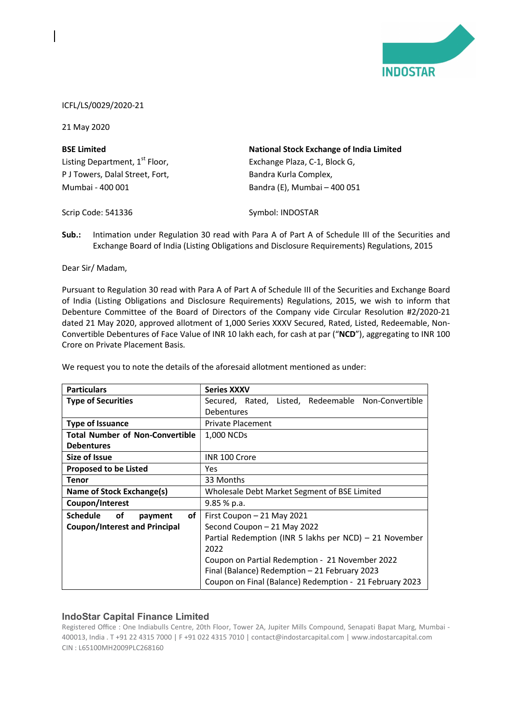

ICFL/LS/0029/2020-21

21 May 2020

| <b>BSE Limited</b>                         | <b>National Stock Exchange of India Limited</b> |
|--------------------------------------------|-------------------------------------------------|
| Listing Department, 1 <sup>st</sup> Floor, | Exchange Plaza, C-1, Block G,                   |
| P J Towers, Dalal Street, Fort,            | Bandra Kurla Complex,                           |
| Mumbai - 400 001                           | Bandra (E), Mumbai - 400 051                    |
| Scrip Code: 541336                         | Symbol: INDOSTAR                                |

Sub.: Intimation under Regulation 30 read with Para A of Part A of Schedule III of the Securities and Exchange Board of India (Listing Obligations and Disclosure Requirements) Regulations, 2015

Dear Sir/ Madam,

Pursuant to Regulation 30 read with Para A of Part A of Schedule III of the Securities and Exchange Board of India (Listing Obligations and Disclosure Requirements) Regulations, 2015, we wish to inform that Debenture Committee of the Board of Directors of the Company vide Circular Resolution #2/2020-21 dated 21 May 2020, approved allotment of 1,000 Series XXXV Secured, Rated, Listed, Redeemable, Non-Convertible Debentures of Face Value of INR 10 lakh each, for cash at par ("NCD"), aggregating to INR 100 Crore on Private Placement Basis.

| <b>Particulars</b>                     | <b>Series XXXV</b>                                      |  |
|----------------------------------------|---------------------------------------------------------|--|
| <b>Type of Securities</b>              | Secured, Rated, Listed, Redeemable Non-Convertible      |  |
|                                        | <b>Debentures</b>                                       |  |
| <b>Type of Issuance</b>                | <b>Private Placement</b>                                |  |
| <b>Total Number of Non-Convertible</b> | 1,000 NCDs                                              |  |
| <b>Debentures</b>                      |                                                         |  |
| Size of Issue                          | INR 100 Crore                                           |  |
| <b>Proposed to be Listed</b>           | Yes                                                     |  |
| <b>Tenor</b>                           | 33 Months                                               |  |
| Name of Stock Exchange(s)              | Wholesale Debt Market Segment of BSE Limited            |  |
| Coupon/Interest                        | $9.85%$ p.a.                                            |  |
| Schedule<br>οf<br>оf<br>payment        | First Coupon $-21$ May 2021                             |  |
| <b>Coupon/Interest and Principal</b>   | Second Coupon - 21 May 2022                             |  |
|                                        | Partial Redemption (INR 5 lakhs per NCD) – 21 November  |  |
| 2022                                   |                                                         |  |
|                                        | Coupon on Partial Redemption - 21 November 2022         |  |
|                                        | Final (Balance) Redemption - 21 February 2023           |  |
|                                        | Coupon on Final (Balance) Redemption - 21 February 2023 |  |

We request you to note the details of the aforesaid allotment mentioned as under:

## IndoStar Capital Finance Limited

Registered Office : One Indiabulls Centre, 20th Floor, Tower 2A, Jupiter Mills Compound, Senapati Bapat Marg, Mumbai - 400013, India . T +91 22 4315 7000 | F +91 022 4315 7010 | contact@indostarcapital.com | www.indostarcapital.com CIN : L65100MH2009PLC268160